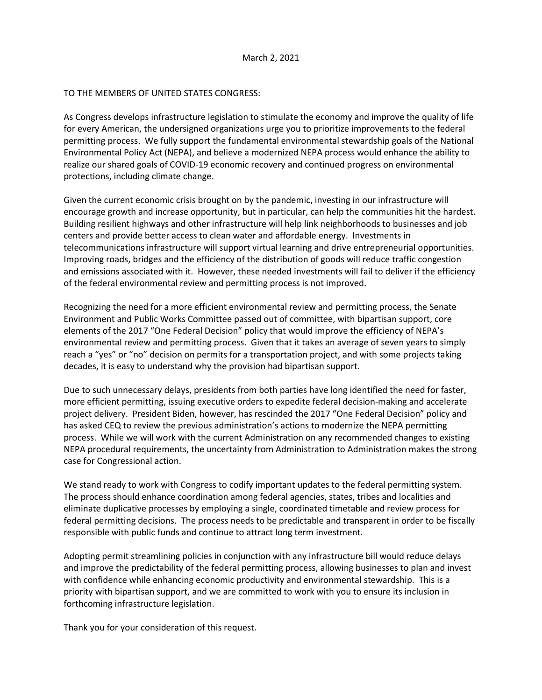## TO THE MEMBERS OF UNITED STATES CONGRESS:

As Congress develops infrastructure legislation to stimulate the economy and improve the quality of life for every American, the undersigned organizations urge you to prioritize improvements to the federal permitting process. We fully support the fundamental environmental stewardship goals of the National Environmental Policy Act (NEPA), and believe a modernized NEPA process would enhance the ability to realize our shared goals of COVID-19 economic recovery and continued progress on environmental protections, including climate change.

Given the current economic crisis brought on by the pandemic, investing in our infrastructure will encourage growth and increase opportunity, but in particular, can help the communities hit the hardest. Building resilient highways and other infrastructure will help link neighborhoods to businesses and job centers and provide better access to clean water and affordable energy. Investments in telecommunications infrastructure will support virtual learning and drive entrepreneurial opportunities. Improving roads, bridges and the efficiency of the distribution of goods will reduce traffic congestion and emissions associated with it. However, these needed investments will fail to deliver if the efficiency of the federal environmental review and permitting process is not improved.

Recognizing the need for a more efficient environmental review and permitting process, the Senate Environment and Public Works Committee passed out of committee, with bipartisan support, core elements of the 2017 "One Federal Decision" policy that would improve the efficiency of NEPA's environmental review and permitting process. Given that it takes an average of seven years to simply reach a "yes" or "no" decision on permits for a transportation project, and with some projects taking decades, it is easy to understand why the provision had bipartisan support.

Due to such unnecessary delays, presidents from both parties have long identified the need for faster, more efficient permitting, issuing executive orders to expedite federal decision-making and accelerate project delivery. President Biden, however, has rescinded the 2017 "One Federal Decision" policy and has asked CEQ to review the previous administration's actions to modernize the NEPA permitting process. While we will work with the current Administration on any recommended changes to existing NEPA procedural requirements, the uncertainty from Administration to Administration makes the strong case for Congressional action.

We stand ready to work with Congress to codify important updates to the federal permitting system. The process should enhance coordination among federal agencies, states, tribes and localities and eliminate duplicative processes by employing a single, coordinated timetable and review process for federal permitting decisions. The process needs to be predictable and transparent in order to be fiscally responsible with public funds and continue to attract long term investment.

Adopting permit streamlining policies in conjunction with any infrastructure bill would reduce delays and improve the predictability of the federal permitting process, allowing businesses to plan and invest with confidence while enhancing economic productivity and environmental stewardship. This is a priority with bipartisan support, and we are committed to work with you to ensure its inclusion in forthcoming infrastructure legislation.

Thank you for your consideration of this request.